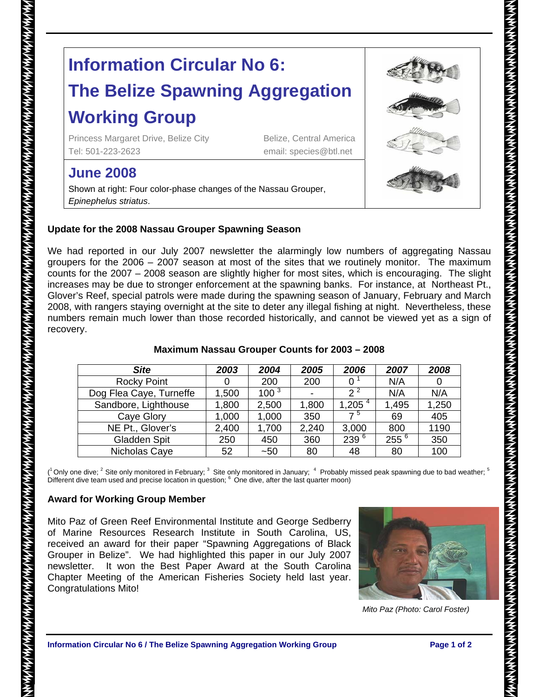# **Information Circular No 6: The Belize Spawning Aggregation**

# **Working Group**

Princess Margaret Drive, Belize City Belize, Central America Tel: 501-223-2623 email: species@btl.net

# **June 2008**

Shown at right: Four color-phase changes of the Nassau Grouper, *Epinephelus striatus*.

### **Update for the 2008 Nassau Grouper Spawning Season**

We had reported in our July 2007 newsletter the alarmingly low numbers of aggregating Nassau groupers for the 2006 – 2007 season at most of the sites that we routinely monitor. The maximum counts for the 2007 – 2008 season are slightly higher for most sites, which is encouraging. The slight increases may be due to stronger enforcement at the spawning banks. For instance, at Northeast Pt., Glover's Reef, special patrols were made during the spawning season of January, February and March 2008, with rangers staying overnight at the site to deter any illegal fishing at night. Nevertheless, these numbers remain much lower than those recorded historically, and cannot be viewed yet as a sign of recovery.

| <b>Site</b>             | 2003  | 2004      | 2005           | 2006      | 2007      | 2008  |
|-------------------------|-------|-----------|----------------|-----------|-----------|-------|
| <b>Rocky Point</b>      |       | 200       | 200            |           | N/A       |       |
| Dog Flea Caye, Turneffe | 1,500 | $100^{3}$ | $\blacksquare$ | $2^2$     | N/A       | N/A   |
| Sandbore, Lighthouse    | 1,800 | 2,500     | 1,800          | 1,205 $4$ | 1,495     | 1,250 |
| Caye Glory              | 1,000 | 1,000     | 350            | $7^{\,5}$ | 69        | 405   |
| NE Pt., Glover's        | 2,400 | 1,700     | 2,240          | 3,000     | 800       | 1190  |
| Gladden Spit            | 250   | 450       | 360            | $239^{6}$ | $255^{6}$ | 350   |
| Nicholas Caye           | 52    | $-50$     | 80             | 48        | 80        | 100   |

### **Maximum Nassau Grouper Counts for 2003 – 2008**

(<sup>1</sup> Only one dive; <sup>2</sup> Site only monitored in February; <sup>3</sup> Site only monitored in January; <sup>4</sup> Probably missed peak spawning due to bad weather; <sup>5</sup> Different dive team used and precise location in question; <sup>6</sup> One dive, after the last quarter moon)

## **Award for Working Group Member**

Mito Paz of Green Reef Environmental Institute and George Sedberry of Marine Resources Research Institute in South Carolina, US, received an award for their paper "Spawning Aggregations of Black Grouper in Belize". We had highlighted this paper in our July 2007 newsletter. It won the Best Paper Award at the South Carolina Chapter Meeting of the American Fisheries Society held last year. Congratulations Mito!



 *Mito Paz (Photo: Carol Foster)*